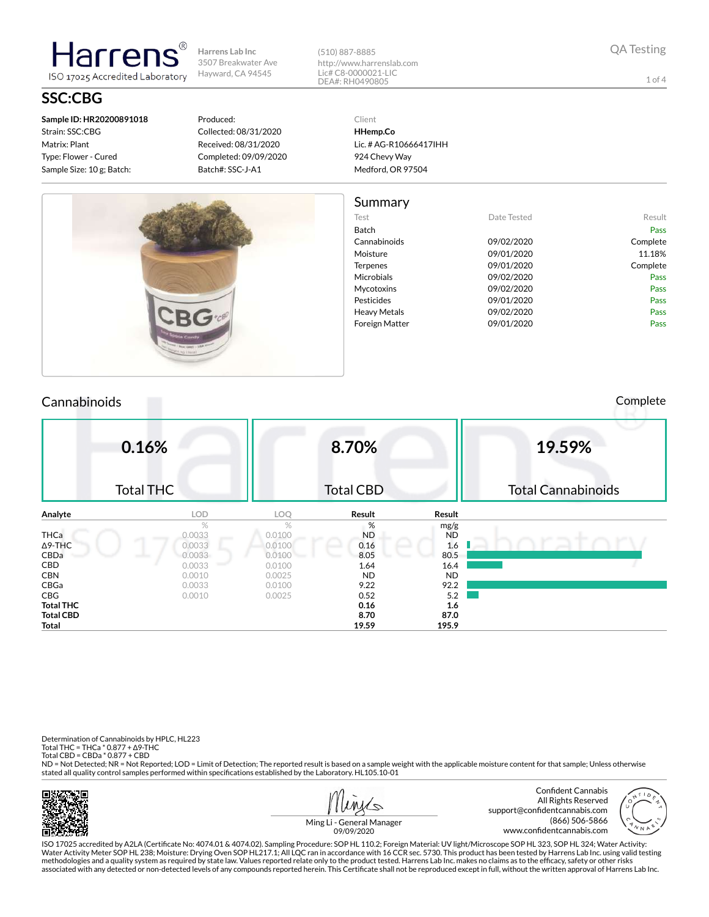ISO 17025 Accredited Laboratory **SSC:CBG**

**Sample ID: HR20200891018** Strain: SSC:CBG Matrix: Plant Type: Flower - Cured Sample Size: 10 g; Batch:

**Harrens** 

#### Produced: Collected: 08/31/2020 Received: 08/31/2020 Completed: 09/09/2020 Batch#: SSC-J-A1

(510) 887-8885 http://www.harrenslab.com Lic# C8-0000021-LIC DEA#: RH0490805

Client

1 of 4



### **HHemp.Co** Lic. # AG-R10666417IHH 924 Chevy Way Medford, OR 97504

| Summary               |             |             |
|-----------------------|-------------|-------------|
| Test                  | Date Tested | Result      |
| Batch                 |             | <b>Pass</b> |
| Cannabinoids          | 09/02/2020  | Complete    |
| Moisture              | 09/01/2020  | 11.18%      |
| <b>Terpenes</b>       | 09/01/2020  | Complete    |
| Microbials            | 09/02/2020  | Pass        |
| Mycotoxins            | 09/02/2020  | Pass        |
| Pesticides            | 09/01/2020  | Pass        |
| <b>Heavy Metals</b>   | 09/02/2020  | Pass        |
| <b>Foreign Matter</b> | 09/01/2020  | Pass        |

## Cannabinoids Complete

|                  | 0.16%            |        | 8.70%            |           | 19.59%                    |
|------------------|------------------|--------|------------------|-----------|---------------------------|
|                  | <b>Total THC</b> |        | <b>Total CBD</b> |           | <b>Total Cannabinoids</b> |
| Analyte          | <b>LOD</b>       | LOQ    | Result           | Result    |                           |
|                  | %                | $\%$   | %                | mg/g      |                           |
| <b>THCa</b>      | 0.0033           | 0.0100 | <b>ND</b>        | <b>ND</b> |                           |
| $\Delta$ 9-THC   | 0.0033           | 0.0100 | 0.16             | 1.6       |                           |
| CBDa             | 0.0033           | 0.0100 | 8.05             | 80.5      |                           |
| CBD              | 0.0033           | 0.0100 | 1.64             | 16.4      |                           |
| <b>CBN</b>       | 0.0010           | 0.0025 | <b>ND</b>        | <b>ND</b> |                           |
| CBGa             | 0.0033           | 0.0100 | 9.22             | 92.2      |                           |
| CBG              | 0.0010           | 0.0025 | 0.52             | 5.2       |                           |
| <b>Total THC</b> |                  |        | 0.16             | 1.6       |                           |
| <b>Total CBD</b> |                  |        | 8.70             | 87.0      |                           |
| <b>Total</b>     |                  |        | 19.59            | 195.9     |                           |

Determination of Cannabinoids by HPLC, HL223

Total THC = THCa \* 0.877 + ∆9-THC Total CBD = CBDa \* 0.877 + CBD

ND = Not Detected; NR = Not Reported; LOD = Limit of Detection; The reported result is based on a sample weight with the applicable moisture content for that sample; Unless otherwise stated all quality control samples performed within specifications established by the Laboratory. HL105.10-01







ISO 17025 accredited by A2LA (Certicate No: 4074.01 & 4074.02). Sampling Procedure: SOP HL 110.2; Foreign Material: UV light/Microscope SOP HL 323, SOP HL 324; Water Activity: Water Activity Meter SOP HL 238; Moisture: Drying Oven SOP HL217.1; All LQC ran in accordance with 16 CCR sec. 5730. This product has been tested by Harrens Lab Inc. using valid testing methodologies and a quality system as required by state law. Values reported relate only to the product tested. Harrens Lab Inc. makes no claims as to the efficacy, safety or other risks<br>associated with any detected or non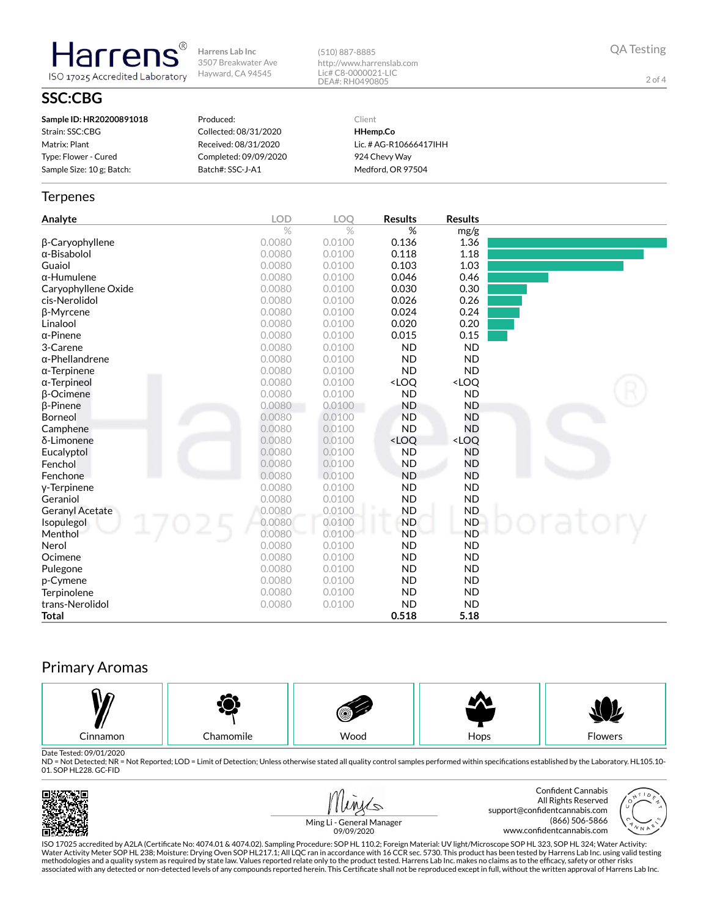(510) 887-8885 http://www.harrenslab.com Lic# C8-0000021-LIC DEA#: RH0490805

QA Testing

2 of 4

# **SSC:CBG**

**Harrens** 

ISO 17025 Accredited Laboratory

| Sample ID: HR20200891018  | Produced:             | Client                 |
|---------------------------|-----------------------|------------------------|
| Strain: SSC:CBG           | Collected: 08/31/2020 | HHemp.Co               |
| Matrix: Plant             | Received: 08/31/2020  | Lic. # AG-R10666417IHH |
| Type: Flower - Cured      | Completed: 09/09/2020 | 924 Chevy Way          |
| Sample Size: 10 g; Batch: | Batch#: SSC-J-A1      | Medford, OR 97504      |

#### **Terpenes**

| Analyte                | <b>LOD</b> | LOQ    | <b>Results</b>                                           | <b>Results</b>               |  |
|------------------------|------------|--------|----------------------------------------------------------|------------------------------|--|
|                        | $\%$       | $\%$   | %                                                        | mg/g                         |  |
| β-Caryophyllene        | 0.0080     | 0.0100 | 0.136                                                    | 1.36                         |  |
| $\alpha$ -Bisabolol    | 0.0080     | 0.0100 | 0.118                                                    | 1.18                         |  |
| Guaiol                 | 0.0080     | 0.0100 | 0.103                                                    | 1.03                         |  |
| $\alpha$ -Humulene     | 0.0080     | 0.0100 | 0.046                                                    | 0.46                         |  |
| Caryophyllene Oxide    | 0.0080     | 0.0100 | 0.030                                                    | 0.30                         |  |
| cis-Nerolidol          | 0.0080     | 0.0100 | 0.026                                                    | 0.26                         |  |
| <b>ß-Myrcene</b>       | 0.0080     | 0.0100 | 0.024                                                    | 0.24                         |  |
| Linalool               | 0.0080     | 0.0100 | 0.020                                                    | 0.20                         |  |
| $\alpha$ -Pinene       | 0.0080     | 0.0100 | 0.015                                                    | 0.15                         |  |
| 3-Carene               | 0.0080     | 0.0100 | <b>ND</b>                                                | <b>ND</b>                    |  |
| $\alpha$ -Phellandrene | 0.0080     | 0.0100 | <b>ND</b>                                                | <b>ND</b>                    |  |
| $\alpha$ -Terpinene    | 0.0080     | 0.0100 | <b>ND</b>                                                | <b>ND</b>                    |  |
| $\alpha$ -Terpineol    | 0.0080     | 0.0100 | <loq< th=""><th><loq< th=""><th></th></loq<></th></loq<> | <loq< th=""><th></th></loq<> |  |
| <b>B-Ocimene</b>       | 0.0080     | 0.0100 | <b>ND</b>                                                | <b>ND</b>                    |  |
| $\beta$ -Pinene        | 0.0080     | 0.0100 | <b>ND</b>                                                | <b>ND</b>                    |  |
| Borneol                | 0.0080     | 0.0100 | <b>ND</b>                                                | <b>ND</b>                    |  |
| Camphene               | 0.0080     | 0.0100 | <b>ND</b>                                                | <b>ND</b>                    |  |
| δ-Limonene             | 0.0080     | 0.0100 | <loq< th=""><th><loq< th=""><th></th></loq<></th></loq<> | <loq< th=""><th></th></loq<> |  |
| Eucalyptol             | 0.0080     | 0.0100 | <b>ND</b>                                                | <b>ND</b>                    |  |
| Fenchol                | 0.0080     | 0.0100 | <b>ND</b>                                                | <b>ND</b>                    |  |
| Fenchone               | 0.0080     | 0.0100 | <b>ND</b>                                                | <b>ND</b>                    |  |
| y-Terpinene            | 0.0080     | 0.0100 | <b>ND</b>                                                | <b>ND</b>                    |  |
| Geraniol               | 0.0080     | 0.0100 | <b>ND</b>                                                | <b>ND</b>                    |  |
| <b>Geranyl Acetate</b> | 0.0080     | 0.0100 | <b>ND</b>                                                | <b>ND</b>                    |  |
| Isopulegol             | 0.0080     | 0.0100 | <b>ND</b>                                                | <b>ND</b>                    |  |
| Menthol                | 0.0080     | 0.0100 | <b>ND</b>                                                | <b>ND</b>                    |  |
| Nerol                  | 0.0080     | 0.0100 | <b>ND</b>                                                | <b>ND</b>                    |  |
| Ocimene                | 0.0080     | 0.0100 | <b>ND</b>                                                | <b>ND</b>                    |  |
| Pulegone               | 0.0080     | 0.0100 | <b>ND</b>                                                | <b>ND</b>                    |  |
| p-Cymene               | 0.0080     | 0.0100 | <b>ND</b>                                                | <b>ND</b>                    |  |
| Terpinolene            | 0.0080     | 0.0100 | <b>ND</b>                                                | <b>ND</b>                    |  |
| trans-Nerolidol        | 0.0080     | 0.0100 | <b>ND</b>                                                | <b>ND</b>                    |  |
| Total                  |            |        | 0.518                                                    | 5.18                         |  |

# Primary Aromas



Date Tested: 09/01/2020<br>ND = Not Detected; NR = Not Reported; LOD = Limit of Detection; Unless otherwise stated all quality control samples performed within specifications established by the Laboratory. HL105.10-01. SOP HL228. GC-FID





Ming Li - General Manager 09/09/2020

ISO 17025 accredited by A2LA (Certicate No: 4074.01 & 4074.02). Sampling Procedure: SOP HL 110.2; Foreign Material: UV light/Microscope SOP HL 323, SOP HL 324; Water Activity: Water Activity Meter SOP HL 238; Moisture: Drying Oven SOP HL217.1; All LQC ran in accordance with 16 CCR sec. 5730. This product has been tested by Harrens Lab Inc. using valid testing methodologies and a quality system as required by state law. Values reported relate only to the product tested. Harrens Lab Inc. makes no claims as to the efficacy, safety or other risks<br>associated with any detected or non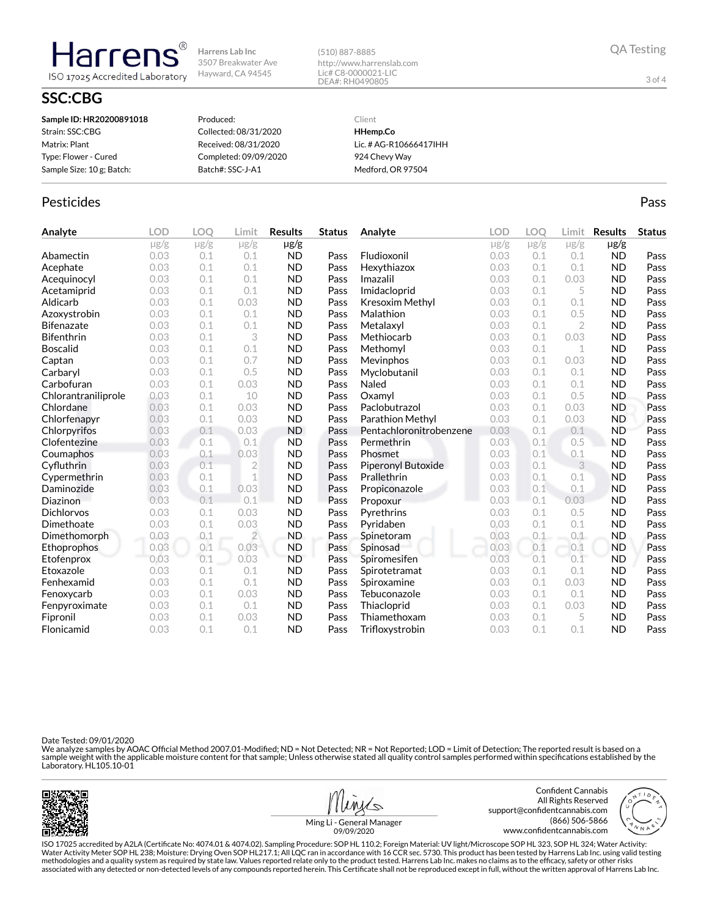(510) 887-8885 http://www.harrenslab.com Lic# C8-0000021-LIC DEA#: RH0490805

# **SSC:CBG**

Harrens

ISO 17025 Accredited Laboratory

| Sample ID: HR20200891018  | Produced:             | Client                 |
|---------------------------|-----------------------|------------------------|
| Strain: SSC:CBG           | Collected: 08/31/2020 | HHemp.Co               |
| Matrix: Plant             | Received: 08/31/2020  | Lic. # AG-R10666417IHH |
| Type: Flower - Cured      | Completed: 09/09/2020 | 924 Chevy Way          |
| Sample Size: 10 g; Batch: | Batch#: SSC-J-A1      | Medford, OR 97504      |
|                           |                       |                        |

### Pesticides **Passage Community Community Community** Passes and the extension of the extension of the extension of the extension of the extension of the extension of the extension of the extension of the extension of the ext

| Analyte             | <b>LOD</b> | LOO       | Limit          | <b>Results</b> | <b>Status</b> | Analyte                 | <b>LOD</b> | <b>LOO</b> | Limit          | <b>Results</b> | <b>Status</b> |
|---------------------|------------|-----------|----------------|----------------|---------------|-------------------------|------------|------------|----------------|----------------|---------------|
|                     | $\mu$ g/g  | $\mu$ g/g | $\mu$ g/g      | $\mu$ g/g      |               |                         | $\mu$ g/g  | $\mu$ g/g  | $\mu$ g/g      | $\mu$ g/g      |               |
| Abamectin           | 0.03       | 0.1       | 0.1            | <b>ND</b>      | Pass          | Fludioxonil             | 0.03       | 0.1        | 0.1            | <b>ND</b>      | Pass          |
| Acephate            | 0.03       | 0.1       | 0.1            | <b>ND</b>      | Pass          | Hexythiazox             | 0.03       | 0.1        | 0.1            | <b>ND</b>      | Pass          |
| Acequinocyl         | 0.03       | 0.1       | 0.1            | <b>ND</b>      | Pass          | Imazalil                | 0.03       | 0.1        | 0.03           | <b>ND</b>      | Pass          |
| Acetamiprid         | 0.03       | 0.1       | 0.1            | <b>ND</b>      | Pass          | Imidacloprid            | 0.03       | 0.1        | 5              | <b>ND</b>      | Pass          |
| Aldicarb            | 0.03       | 0.1       | 0.03           | <b>ND</b>      | Pass          | Kresoxim Methyl         | 0.03       | 0.1        | 0.1            | <b>ND</b>      | Pass          |
| Azoxystrobin        | 0.03       | 0.1       | 0.1            | <b>ND</b>      | Pass          | Malathion               | 0.03       | 0.1        | 0.5            | <b>ND</b>      | Pass          |
| <b>Bifenazate</b>   | 0.03       | 0.1       | 0.1            | <b>ND</b>      | Pass          | Metalaxyl               | 0.03       | 0.1        | $\overline{2}$ | <b>ND</b>      | Pass          |
| <b>Bifenthrin</b>   | 0.03       | 0.1       | 3              | <b>ND</b>      | Pass          | Methiocarb              | 0.03       | 0.1        | 0.03           | <b>ND</b>      | Pass          |
| <b>Boscalid</b>     | 0.03       | 0.1       | 0.1            | <b>ND</b>      | Pass          | Methomyl                | 0.03       | 0.1        | 1              | <b>ND</b>      | Pass          |
| Captan              | 0.03       | 0.1       | 0.7            | <b>ND</b>      | Pass          | Mevinphos               | 0.03       | 0.1        | 0.03           | <b>ND</b>      | Pass          |
| Carbaryl            | 0.03       | 0.1       | 0.5            | <b>ND</b>      | Pass          | Myclobutanil            | 0.03       | 0.1        | 0.1            | <b>ND</b>      | Pass          |
| Carbofuran          | 0.03       | 0.1       | 0.03           | <b>ND</b>      | Pass          | Naled                   | 0.03       | 0.1        | 0.1            | <b>ND</b>      | Pass          |
| Chlorantraniliprole | 0.03       | 0.1       | 10             | <b>ND</b>      | Pass          | Oxamvl                  | 0.03       | 0.1        | 0.5            | <b>ND</b>      | Pass          |
| Chlordane           | 0.03       | 0.1       | 0.03           | <b>ND</b>      | Pass          | Paclobutrazol           | 0.03       | 0.1        | 0.03           | <b>ND</b>      | Pass          |
| Chlorfenapyr        | 0.03       | 0.1       | 0.03           | <b>ND</b>      | Pass          | Parathion Methyl        | 0.03       | 0.1        | 0.03           | <b>ND</b>      | Pass          |
| Chlorpyrifos        | 0.03       | 0.1       | 0.03           | <b>ND</b>      | Pass          | Pentachloronitrobenzene | 0.03       | 0.1        | 0.1            | <b>ND</b>      | Pass          |
| Clofentezine        | 0.03       | 0.1       | 0.1            | <b>ND</b>      | Pass          | Permethrin              | 0.03       | 0.1        | 0.5            | <b>ND</b>      | Pass          |
| Coumaphos           | 0.03       | 0.1       | 0.03           | <b>ND</b>      | Pass          | Phosmet                 | 0.03       | 0.1        | 0.1            | <b>ND</b>      | Pass          |
| Cyfluthrin          | 0.03       | 0.1       | $\overline{2}$ | <b>ND</b>      | Pass          | Piperonyl Butoxide      | 0.03       | 0.1        | 3              | <b>ND</b>      | Pass          |
| Cypermethrin        | 0.03       | 0.1       | $\mathbf 1$    | <b>ND</b>      | Pass          | Prallethrin             | 0.03       | 0.1        | 0.1            | <b>ND</b>      | Pass          |
| Daminozide          | 0.03       | 0.1       | 0.03           | <b>ND</b>      | Pass          | Propiconazole           | 0.03       | 0.1        | 0.1            | <b>ND</b>      | Pass          |
| Diazinon            | 0.03       | 0.1       | 0.1            | <b>ND</b>      | Pass          | Propoxur                | 0.03       | 0.1        | 0.03           | <b>ND</b>      | Pass          |
| Dichlorvos          | 0.03       | 0.1       | 0.03           | <b>ND</b>      | Pass          | Pyrethrins              | 0.03       | 0.1        | 0.5            | <b>ND</b>      | Pass          |
| Dimethoate          | 0.03       | 0.1       | 0.03           | <b>ND</b>      | Pass          | Pyridaben               | 0.03       | 0.1        | 0.1            | <b>ND</b>      | Pass          |
| Dimethomorph        | 0.03       | 0.1       | $\overline{2}$ | <b>ND</b>      | Pass          | Spinetoram              | 0.03       | 0.1        | 0.1            | <b>ND</b>      | Pass          |
| Ethoprophos         | 0.03       | 0.1       | 0.03           | <b>ND</b>      | Pass          | Spinosad                | 0.03       | 0.1        | 0.1            | <b>ND</b>      | Pass          |
| Etofenprox          | 0.03       | 0.1       | 0.03           | <b>ND</b>      | Pass          | Spiromesifen            | 0.03       | 0.1        | 0.1            | <b>ND</b>      | Pass          |
| Etoxazole           | 0.03       | 0.1       | 0.1            | <b>ND</b>      | Pass          | Spirotetramat           | 0.03       | 0.1        | 0.1            | <b>ND</b>      | Pass          |
| Fenhexamid          | 0.03       | 0.1       | 0.1            | <b>ND</b>      | Pass          | Spiroxamine             | 0.03       | 0.1        | 0.03           | <b>ND</b>      | Pass          |
| Fenoxycarb          | 0.03       | 0.1       | 0.03           | <b>ND</b>      | Pass          | Tebuconazole            | 0.03       | 0.1        | 0.1            | <b>ND</b>      | Pass          |
| Fenpyroximate       | 0.03       | 0.1       | 0.1            | <b>ND</b>      | Pass          | Thiacloprid             | 0.03       | 0.1        | 0.03           | <b>ND</b>      | Pass          |
| Fipronil            | 0.03       | 0.1       | 0.03           | <b>ND</b>      | Pass          | Thiamethoxam            | 0.03       | 0.1        | 5              | <b>ND</b>      | Pass          |
| Flonicamid          | 0.03       | 0.1       | 0.1            | <b>ND</b>      | Pass          | Trifloxystrobin         | 0.03       | 0.1        | 0.1            | <b>ND</b>      | Pass          |

Date Tested: 09/01/2020

We analyze samples by AOAC Official Method 2007.01-Modified; ND = Not Detected; NR = Not Reported; LOD = Limit of Detection; The reported result is based on a<br>sample weight with the applicable moisture content for that sam





3 of 4

support@confidentcannabis.com

Ming Li - General Manager 09/09/2020

ISO 17025 accredited by A2LA (Certicate No: 4074.01 & 4074.02). Sampling Procedure: SOP HL 110.2; Foreign Material: UV light/Microscope SOP HL 323, SOP HL 324; Water Activity: Water Activity Meter SOP HL 238; Moisture: Drying Oven SOP HL217.1; All LQC ran in accordance with 16 CCR sec. 5730. This product has been tested by Harrens Lab Inc. using valid testing methodologies and a quality system as required by state law. Values reported relate only to the product tested. Harrens Lab Inc. makes no claims as to the efficacy, safety or other risks<br>associated with any detected or non